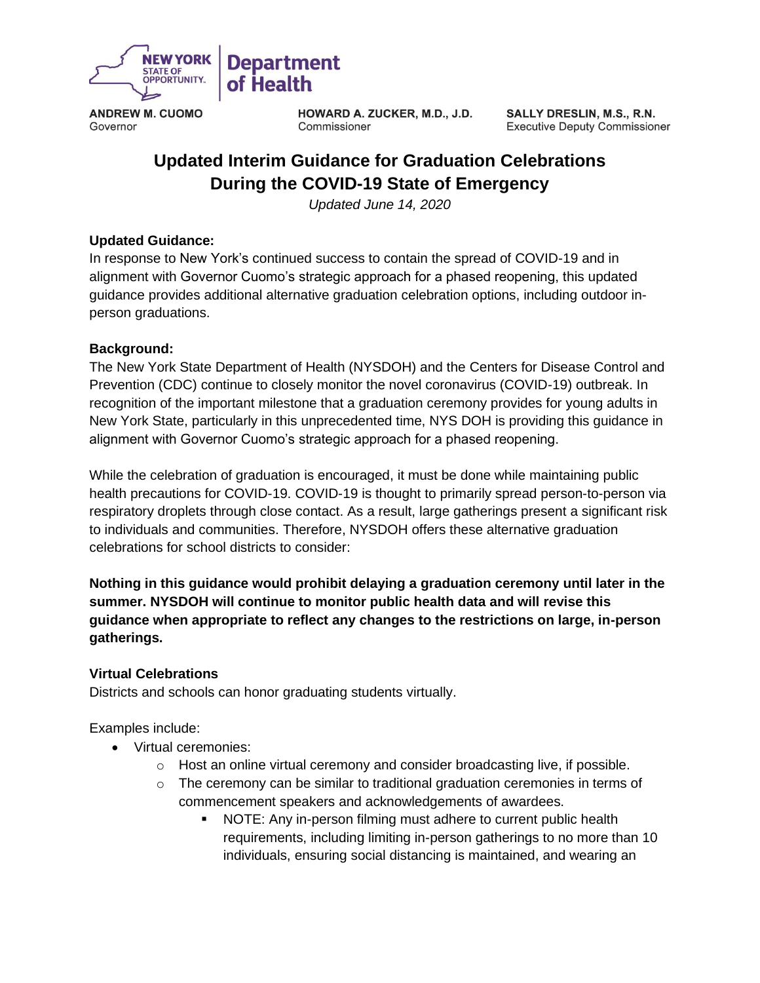

**ANDREW M. CUOMO** Governor

**HOWARD A. ZUCKER, M.D., J.D.** Commissioner

SALLY DRESLIN, M.S., R.N. **Executive Deputy Commissioner** 

# **Updated Interim Guidance for Graduation Celebrations During the COVID-19 State of Emergency**

*Updated June 14, 2020*

### **Updated Guidance:**

In response to New York's continued success to contain the spread of COVID-19 and in alignment with Governor Cuomo's strategic approach for a phased reopening, this updated guidance provides additional alternative graduation celebration options, including outdoor inperson graduations.

#### **Background:**

The New York State Department of Health (NYSDOH) and the Centers for Disease Control and Prevention (CDC) continue to closely monitor the novel coronavirus (COVID-19) outbreak. In recognition of the important milestone that a graduation ceremony provides for young adults in New York State, particularly in this unprecedented time, NYS DOH is providing this guidance in alignment with Governor Cuomo's strategic approach for a phased reopening.

While the celebration of graduation is encouraged, it must be done while maintaining public health precautions for COVID-19. COVID-19 is thought to primarily spread person-to-person via respiratory droplets through close contact. As a result, large gatherings present a significant risk to individuals and communities. Therefore, NYSDOH offers these alternative graduation celebrations for school districts to consider:

**Nothing in this guidance would prohibit delaying a graduation ceremony until later in the summer. NYSDOH will continue to monitor public health data and will revise this guidance when appropriate to reflect any changes to the restrictions on large, in-person gatherings.** 

### **Virtual Celebrations**

Districts and schools can honor graduating students virtually.

Examples include:

- Virtual ceremonies:
	- $\circ$  Host an online virtual ceremony and consider broadcasting live, if possible.
	- $\circ$  The ceremony can be similar to traditional graduation ceremonies in terms of commencement speakers and acknowledgements of awardees.
		- NOTE: Any in-person filming must adhere to current public health requirements, including limiting in-person gatherings to no more than 10 individuals, ensuring social distancing is maintained, and wearing an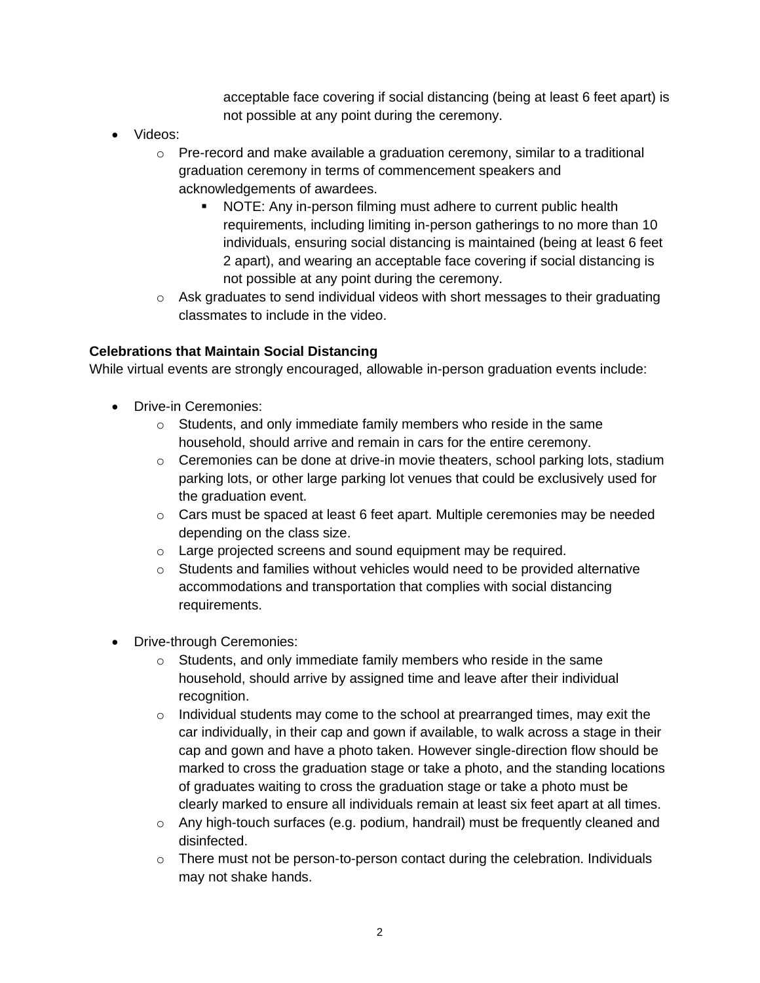acceptable face covering if social distancing (being at least 6 feet apart) is not possible at any point during the ceremony.

- Videos:
	- $\circ$  Pre-record and make available a graduation ceremony, similar to a traditional graduation ceremony in terms of commencement speakers and acknowledgements of awardees.
		- NOTE: Any in-person filming must adhere to current public health requirements, including limiting in-person gatherings to no more than 10 individuals, ensuring social distancing is maintained (being at least 6 feet 2 apart), and wearing an acceptable face covering if social distancing is not possible at any point during the ceremony.
	- $\circ$  Ask graduates to send individual videos with short messages to their graduating classmates to include in the video.

## **Celebrations that Maintain Social Distancing**

While virtual events are strongly encouraged, allowable in-person graduation events include:

- Drive-in Ceremonies:
	- o Students, and only immediate family members who reside in the same household, should arrive and remain in cars for the entire ceremony.
	- $\circ$  Ceremonies can be done at drive-in movie theaters, school parking lots, stadium parking lots, or other large parking lot venues that could be exclusively used for the graduation event.
	- $\circ$  Cars must be spaced at least 6 feet apart. Multiple ceremonies may be needed depending on the class size.
	- o Large projected screens and sound equipment may be required.
	- $\circ$  Students and families without vehicles would need to be provided alternative accommodations and transportation that complies with social distancing requirements.
- Drive-through Ceremonies:
	- o Students, and only immediate family members who reside in the same household, should arrive by assigned time and leave after their individual recognition.
	- $\circ$  Individual students may come to the school at prearranged times, may exit the car individually, in their cap and gown if available, to walk across a stage in their cap and gown and have a photo taken. However single-direction flow should be marked to cross the graduation stage or take a photo, and the standing locations of graduates waiting to cross the graduation stage or take a photo must be clearly marked to ensure all individuals remain at least six feet apart at all times.
	- $\circ$  Any high-touch surfaces (e.g. podium, handrail) must be frequently cleaned and disinfected.
	- o There must not be person-to-person contact during the celebration. Individuals may not shake hands.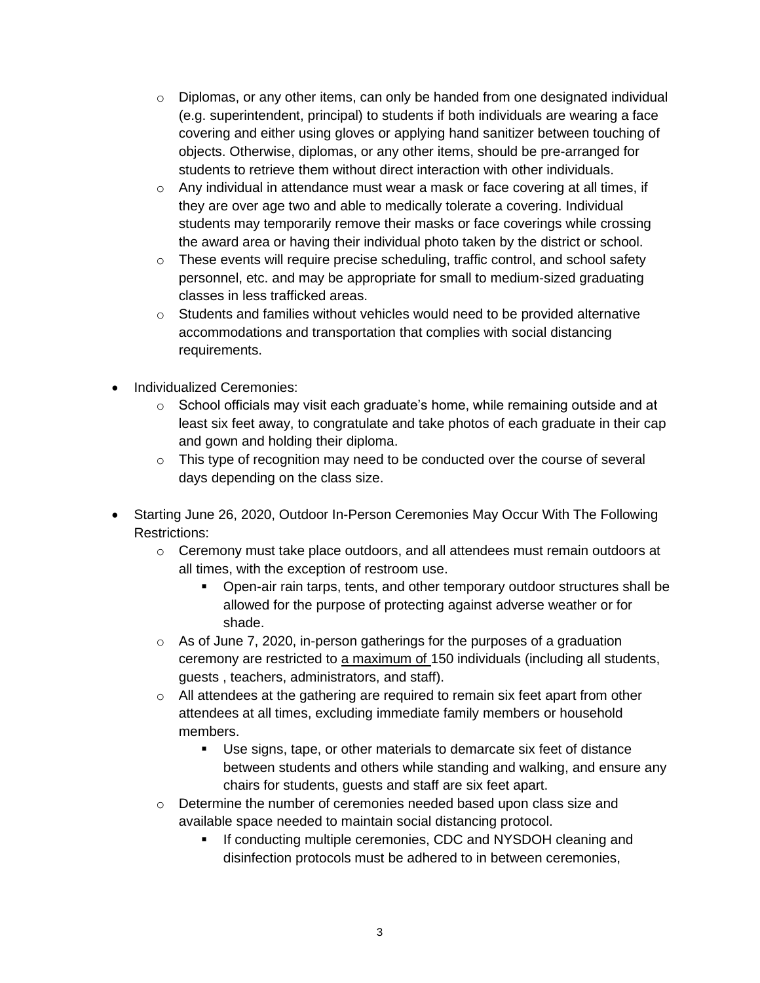- $\circ$  Diplomas, or any other items, can only be handed from one designated individual (e.g. superintendent, principal) to students if both individuals are wearing a face covering and either using gloves or applying hand sanitizer between touching of objects. Otherwise, diplomas, or any other items, should be pre-arranged for students to retrieve them without direct interaction with other individuals.
- $\circ$  Any individual in attendance must wear a mask or face covering at all times, if they are over age two and able to medically tolerate a covering. Individual students may temporarily remove their masks or face coverings while crossing the award area or having their individual photo taken by the district or school.
- $\circ$  These events will require precise scheduling, traffic control, and school safety personnel, etc. and may be appropriate for small to medium-sized graduating classes in less trafficked areas.
- $\circ$  Students and families without vehicles would need to be provided alternative accommodations and transportation that complies with social distancing requirements.
- Individualized Ceremonies:
	- $\circ$  School officials may visit each graduate's home, while remaining outside and at least six feet away, to congratulate and take photos of each graduate in their cap and gown and holding their diploma.
	- $\circ$  This type of recognition may need to be conducted over the course of several days depending on the class size.
- Starting June 26, 2020, Outdoor In-Person Ceremonies May Occur With The Following Restrictions:
	- $\circ$  Ceremony must take place outdoors, and all attendees must remain outdoors at all times, with the exception of restroom use.
		- Open-air rain tarps, tents, and other temporary outdoor structures shall be allowed for the purpose of protecting against adverse weather or for shade.
	- o As of June 7, 2020, in-person gatherings for the purposes of a graduation ceremony are restricted to a maximum of 150 individuals (including all students, guests , teachers, administrators, and staff).
	- $\circ$  All attendees at the gathering are required to remain six feet apart from other attendees at all times, excluding immediate family members or household members.
		- Use signs, tape, or other materials to demarcate six feet of distance between students and others while standing and walking, and ensure any chairs for students, guests and staff are six feet apart.
	- $\circ$  Determine the number of ceremonies needed based upon class size and available space needed to maintain social distancing protocol.
		- **.** If conducting multiple ceremonies, CDC and NYSDOH cleaning and disinfection protocols must be adhered to in between ceremonies,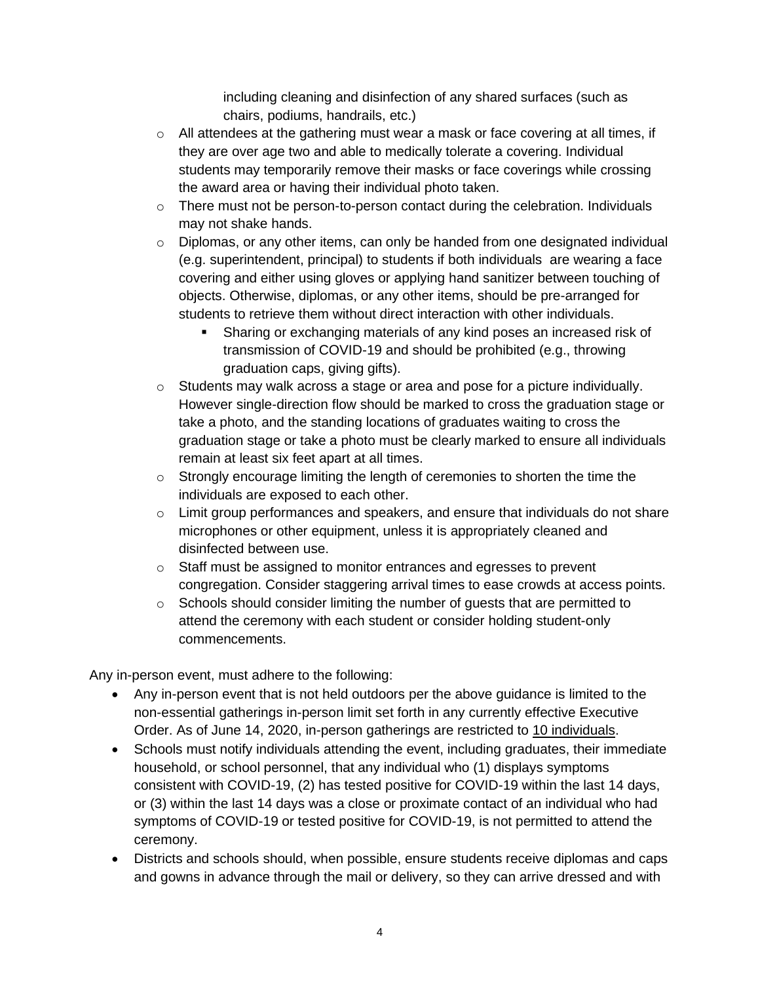including cleaning and disinfection of any shared surfaces (such as chairs, podiums, handrails, etc.)

- o All attendees at the gathering must wear a mask or face covering at all times, if they are over age two and able to medically tolerate a covering. Individual students may temporarily remove their masks or face coverings while crossing the award area or having their individual photo taken.
- $\circ$  There must not be person-to-person contact during the celebration. Individuals may not shake hands.
- $\circ$  Diplomas, or any other items, can only be handed from one designated individual (e.g. superintendent, principal) to students if both individuals are wearing a face covering and either using gloves or applying hand sanitizer between touching of objects. Otherwise, diplomas, or any other items, should be pre-arranged for students to retrieve them without direct interaction with other individuals.
	- Sharing or exchanging materials of any kind poses an increased risk of transmission of COVID-19 and should be prohibited (e.g., throwing graduation caps, giving gifts).
- $\circ$  Students may walk across a stage or area and pose for a picture individually. However single-direction flow should be marked to cross the graduation stage or take a photo, and the standing locations of graduates waiting to cross the graduation stage or take a photo must be clearly marked to ensure all individuals remain at least six feet apart at all times.
- o Strongly encourage limiting the length of ceremonies to shorten the time the individuals are exposed to each other.
- $\circ$  Limit group performances and speakers, and ensure that individuals do not share microphones or other equipment, unless it is appropriately cleaned and disinfected between use.
- o Staff must be assigned to monitor entrances and egresses to prevent congregation. Consider staggering arrival times to ease crowds at access points.
- $\circ$  Schools should consider limiting the number of quests that are permitted to attend the ceremony with each student or consider holding student-only commencements.

Any in-person event, must adhere to the following:

- Any in-person event that is not held outdoors per the above guidance is limited to the non-essential gatherings in-person limit set forth in any currently effective Executive Order. As of June 14, 2020, in-person gatherings are restricted to 10 individuals.
- Schools must notify individuals attending the event, including graduates, their immediate household, or school personnel, that any individual who (1) displays symptoms consistent with COVID-19, (2) has tested positive for COVID-19 within the last 14 days, or (3) within the last 14 days was a close or proximate contact of an individual who had symptoms of COVID-19 or tested positive for COVID-19, is not permitted to attend the ceremony.
- Districts and schools should, when possible, ensure students receive diplomas and caps and gowns in advance through the mail or delivery, so they can arrive dressed and with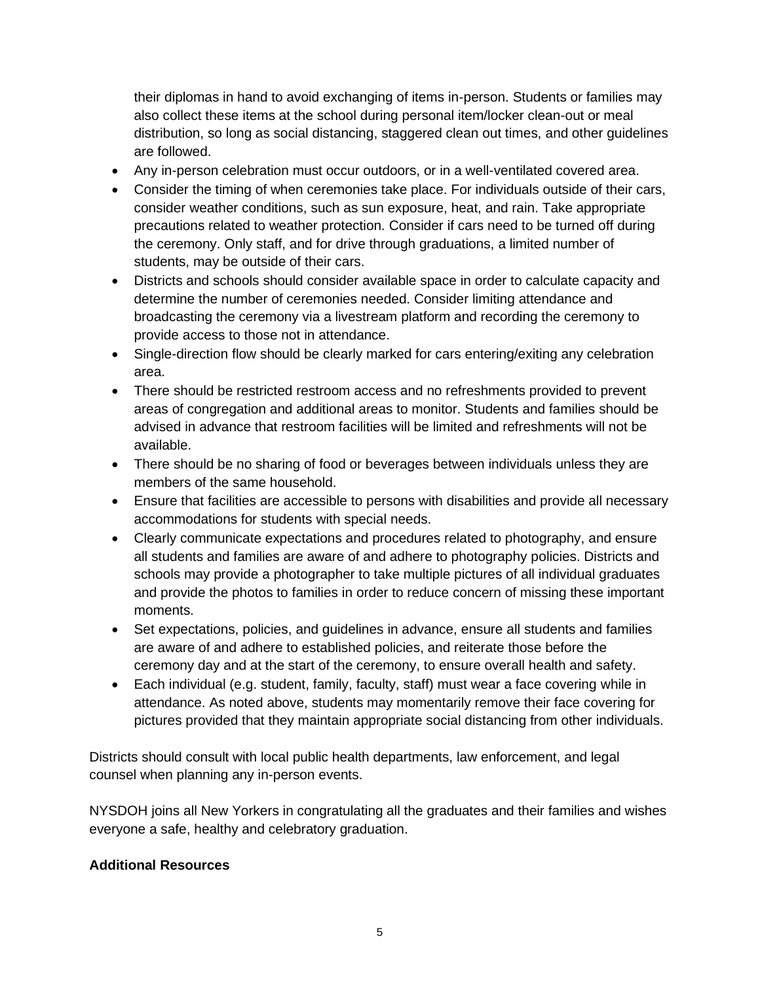their diplomas in hand to avoid exchanging of items in-person. Students or families may also collect these items at the school during personal item/locker clean-out or meal distribution, so long as social distancing, staggered clean out times, and other guidelines are followed.

- Any in-person celebration must occur outdoors, or in a well-ventilated covered area.
- Consider the timing of when ceremonies take place. For individuals outside of their cars, consider weather conditions, such as sun exposure, heat, and rain. Take appropriate precautions related to weather protection. Consider if cars need to be turned off during the ceremony. Only staff, and for drive through graduations, a limited number of students, may be outside of their cars.
- Districts and schools should consider available space in order to calculate capacity and determine the number of ceremonies needed. Consider limiting attendance and broadcasting the ceremony via a livestream platform and recording the ceremony to provide access to those not in attendance.
- Single-direction flow should be clearly marked for cars entering/exiting any celebration area.
- There should be restricted restroom access and no refreshments provided to prevent areas of congregation and additional areas to monitor. Students and families should be advised in advance that restroom facilities will be limited and refreshments will not be available.
- There should be no sharing of food or beverages between individuals unless they are members of the same household.
- Ensure that facilities are accessible to persons with disabilities and provide all necessary accommodations for students with special needs.
- Clearly communicate expectations and procedures related to photography, and ensure all students and families are aware of and adhere to photography policies. Districts and schools may provide a photographer to take multiple pictures of all individual graduates and provide the photos to families in order to reduce concern of missing these important moments.
- Set expectations, policies, and guidelines in advance, ensure all students and families are aware of and adhere to established policies, and reiterate those before the ceremony day and at the start of the ceremony, to ensure overall health and safety.
- Each individual (e.g. student, family, faculty, staff) must wear a face covering while in attendance. As noted above, students may momentarily remove their face covering for pictures provided that they maintain appropriate social distancing from other individuals.

Districts should consult with local public health departments, law enforcement, and legal counsel when planning any in-person events.

NYSDOH joins all New Yorkers in congratulating all the graduates and their families and wishes everyone a safe, healthy and celebratory graduation.

## **Additional Resources**